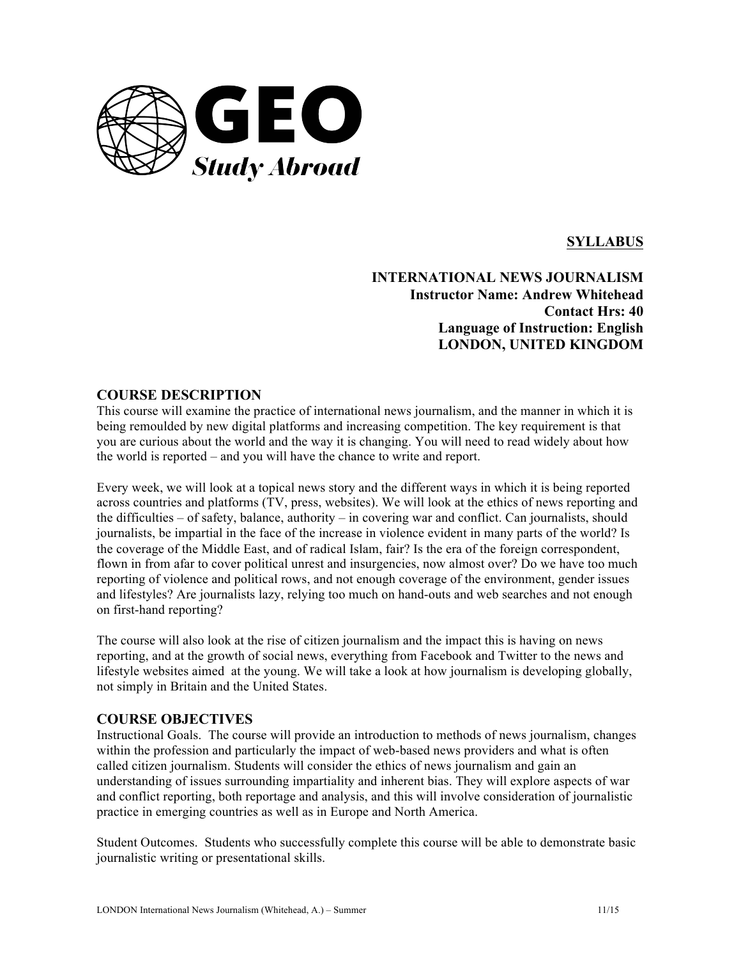

# **SYLLABUS**

**INTERNATIONAL NEWS JOURNALISM Instructor Name: Andrew Whitehead Contact Hrs: 40 Language of Instruction: English LONDON, UNITED KINGDOM**

### **COURSE DESCRIPTION**

This course will examine the practice of international news journalism, and the manner in which it is being remoulded by new digital platforms and increasing competition. The key requirement is that you are curious about the world and the way it is changing. You will need to read widely about how the world is reported – and you will have the chance to write and report.

Every week, we will look at a topical news story and the different ways in which it is being reported across countries and platforms (TV, press, websites). We will look at the ethics of news reporting and the difficulties – of safety, balance, authority – in covering war and conflict. Can journalists, should journalists, be impartial in the face of the increase in violence evident in many parts of the world? Is the coverage of the Middle East, and of radical Islam, fair? Is the era of the foreign correspondent, flown in from afar to cover political unrest and insurgencies, now almost over? Do we have too much reporting of violence and political rows, and not enough coverage of the environment, gender issues and lifestyles? Are journalists lazy, relying too much on hand-outs and web searches and not enough on first-hand reporting?

The course will also look at the rise of citizen journalism and the impact this is having on news reporting, and at the growth of social news, everything from Facebook and Twitter to the news and lifestyle websites aimed at the young. We will take a look at how journalism is developing globally, not simply in Britain and the United States.

### **COURSE OBJECTIVES**

Instructional Goals. The course will provide an introduction to methods of news journalism, changes within the profession and particularly the impact of web-based news providers and what is often called citizen journalism. Students will consider the ethics of news journalism and gain an understanding of issues surrounding impartiality and inherent bias. They will explore aspects of war and conflict reporting, both reportage and analysis, and this will involve consideration of journalistic practice in emerging countries as well as in Europe and North America.

Student Outcomes. Students who successfully complete this course will be able to demonstrate basic journalistic writing or presentational skills.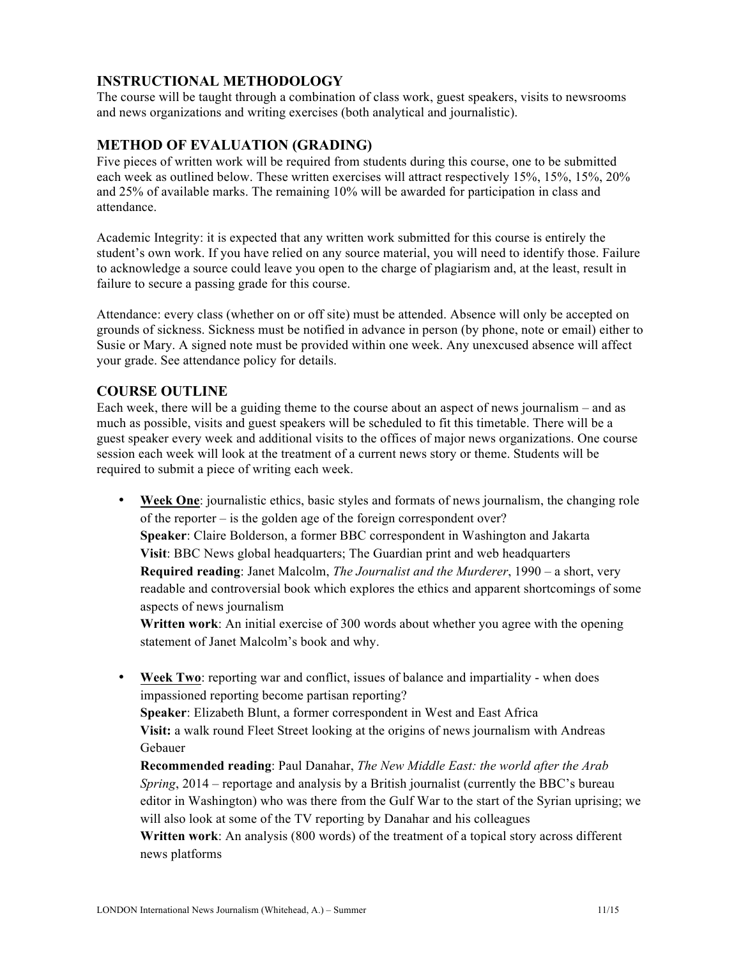# **INSTRUCTIONAL METHODOLOGY**

The course will be taught through a combination of class work, guest speakers, visits to newsrooms and news organizations and writing exercises (both analytical and journalistic).

#### **METHOD OF EVALUATION (GRADING)**

Five pieces of written work will be required from students during this course, one to be submitted each week as outlined below. These written exercises will attract respectively 15%, 15%, 15%, 20% and 25% of available marks. The remaining 10% will be awarded for participation in class and attendance.

Academic Integrity: it is expected that any written work submitted for this course is entirely the student's own work. If you have relied on any source material, you will need to identify those. Failure to acknowledge a source could leave you open to the charge of plagiarism and, at the least, result in failure to secure a passing grade for this course.

Attendance: every class (whether on or off site) must be attended. Absence will only be accepted on grounds of sickness. Sickness must be notified in advance in person (by phone, note or email) either to Susie or Mary. A signed note must be provided within one week. Any unexcused absence will affect your grade. See attendance policy for details.

### **COURSE OUTLINE**

Each week, there will be a guiding theme to the course about an aspect of news journalism – and as much as possible, visits and guest speakers will be scheduled to fit this timetable. There will be a guest speaker every week and additional visits to the offices of major news organizations. One course session each week will look at the treatment of a current news story or theme. Students will be required to submit a piece of writing each week.

• **Week One**: journalistic ethics, basic styles and formats of news journalism, the changing role of the reporter – is the golden age of the foreign correspondent over? **Speaker**: Claire Bolderson, a former BBC correspondent in Washington and Jakarta **Visit**: BBC News global headquarters; The Guardian print and web headquarters **Required reading**: Janet Malcolm, *The Journalist and the Murderer*, 1990 – a short, very readable and controversial book which explores the ethics and apparent shortcomings of some aspects of news journalism

**Written work**: An initial exercise of 300 words about whether you agree with the opening statement of Janet Malcolm's book and why.

• **Week Two**: reporting war and conflict, issues of balance and impartiality - when does impassioned reporting become partisan reporting?

**Speaker**: Elizabeth Blunt, a former correspondent in West and East Africa **Visit:** a walk round Fleet Street looking at the origins of news journalism with Andreas Gebauer

**Recommended reading**: Paul Danahar, *The New Middle East: the world after the Arab Spring*, 2014 – reportage and analysis by a British journalist (currently the BBC's bureau editor in Washington) who was there from the Gulf War to the start of the Syrian uprising; we will also look at some of the TV reporting by Danahar and his colleagues **Written work**: An analysis (800 words) of the treatment of a topical story across different news platforms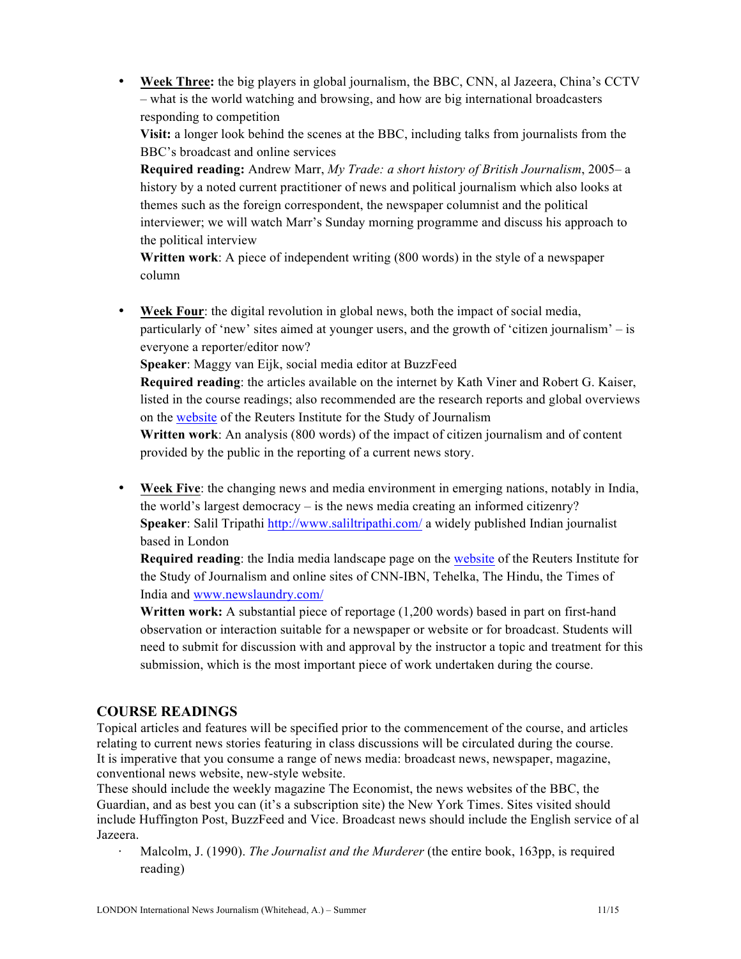• **Week Three:** the big players in global journalism, the BBC, CNN, al Jazeera, China's CCTV – what is the world watching and browsing, and how are big international broadcasters responding to competition

**Visit:** a longer look behind the scenes at the BBC, including talks from journalists from the BBC's broadcast and online services

**Required reading:** Andrew Marr, *My Trade: a short history of British Journalism*, 2005– a history by a noted current practitioner of news and political journalism which also looks at themes such as the foreign correspondent, the newspaper columnist and the political interviewer; we will watch Marr's Sunday morning programme and discuss his approach to the political interview

**Written work**: A piece of independent writing (800 words) in the style of a newspaper column

**Week Four:** the digital revolution in global news, both the impact of social media, particularly of 'new' sites aimed at younger users, and the growth of 'citizen journalism' – is everyone a reporter/editor now?

**Speaker**: Maggy van Eijk, social media editor at BuzzFeed

**Required reading**: the articles available on the internet by Kath Viner and Robert G. Kaiser, listed in the course readings; also recommended are the research reports and global overviews on the website of the Reuters Institute for the Study of Journalism

**Written work**: An analysis (800 words) of the impact of citizen journalism and of content provided by the public in the reporting of a current news story.

• **Week Five**: the changing news and media environment in emerging nations, notably in India, the world's largest democracy – is the news media creating an informed citizenry? **Speaker**: Salil Tripathi http://www.saliltripathi.com/ a widely published Indian journalist based in London

**Required reading**: the India media landscape page on the website of the Reuters Institute for the Study of Journalism and online sites of CNN-IBN, Tehelka, The Hindu, the Times of India and www.newslaundry.com/

**Written work:** A substantial piece of reportage (1,200 words) based in part on first-hand observation or interaction suitable for a newspaper or website or for broadcast. Students will need to submit for discussion with and approval by the instructor a topic and treatment for this submission, which is the most important piece of work undertaken during the course.

# **COURSE READINGS**

Topical articles and features will be specified prior to the commencement of the course, and articles relating to current news stories featuring in class discussions will be circulated during the course. It is imperative that you consume a range of news media: broadcast news, newspaper, magazine, conventional news website, new-style website.

These should include the weekly magazine The Economist, the news websites of the BBC, the Guardian, and as best you can (it's a subscription site) the New York Times. Sites visited should include Huffington Post, BuzzFeed and Vice. Broadcast news should include the English service of al Jazeera.

⋅ Malcolm, J. (1990). *The Journalist and the Murderer* (the entire book, 163pp, is required reading)